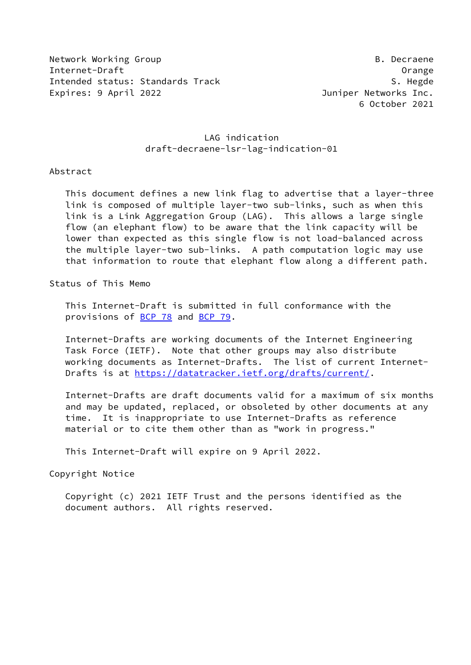Network Working Group **B. Decraene** Internet-Draft Orange Intended status: Standards Track S. Hegde S. Hegde Expires: 9 April 2022 Juniper Networks Inc.

## LAG indication draft-decraene-lsr-lag-indication-01

#### Abstract

 This document defines a new link flag to advertise that a layer-three link is composed of multiple layer-two sub-links, such as when this link is a Link Aggregation Group (LAG). This allows a large single flow (an elephant flow) to be aware that the link capacity will be lower than expected as this single flow is not load-balanced across the multiple layer-two sub-links. A path computation logic may use that information to route that elephant flow along a different path.

Status of This Memo

 This Internet-Draft is submitted in full conformance with the provisions of **BCP 78** and **BCP 79**.

 Internet-Drafts are working documents of the Internet Engineering Task Force (IETF). Note that other groups may also distribute working documents as Internet-Drafts. The list of current Internet Drafts is at<https://datatracker.ietf.org/drafts/current/>.

 Internet-Drafts are draft documents valid for a maximum of six months and may be updated, replaced, or obsoleted by other documents at any time. It is inappropriate to use Internet-Drafts as reference material or to cite them other than as "work in progress."

This Internet-Draft will expire on 9 April 2022.

Copyright Notice

 Copyright (c) 2021 IETF Trust and the persons identified as the document authors. All rights reserved.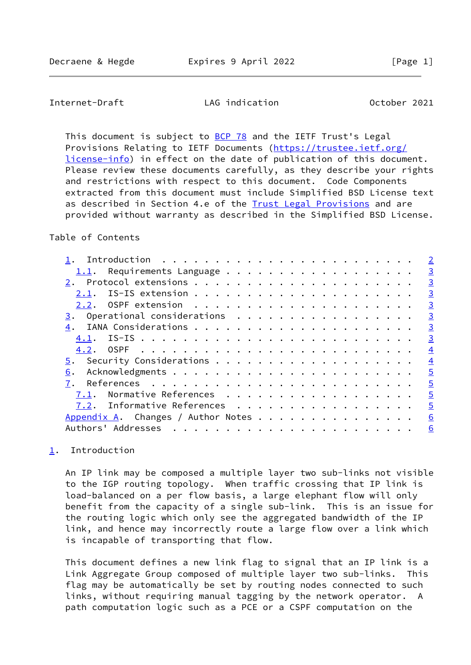<span id="page-1-1"></span>Internet-Draft LAG indication October 2021

This document is subject to [BCP 78](https://datatracker.ietf.org/doc/pdf/bcp78) and the IETF Trust's Legal Provisions Relating to IETF Documents ([https://trustee.ietf.org/](https://trustee.ietf.org/license-info) [license-info](https://trustee.ietf.org/license-info)) in effect on the date of publication of this document. Please review these documents carefully, as they describe your rights and restrictions with respect to this document. Code Components extracted from this document must include Simplified BSD License text as described in Section 4.e of the [Trust Legal Provisions](https://trustee.ietf.org/license-info) and are provided without warranty as described in the Simplified BSD License.

## Table of Contents

|                                    | $\overline{2}$ |
|------------------------------------|----------------|
| Requirements Language<br>1.1.      | $\overline{3}$ |
|                                    | $\overline{3}$ |
| 2.1.                               | $\overline{3}$ |
|                                    | $\overline{3}$ |
| Operational considerations<br>3.   | $\overline{3}$ |
| 4.                                 | $\overline{3}$ |
| 4.1.                               | $\overline{3}$ |
|                                    | $\overline{4}$ |
|                                    | $\overline{4}$ |
| 6.                                 | $\overline{5}$ |
| 7.                                 | $\overline{5}$ |
| Normative References<br>7.1.       | $\overline{5}$ |
| 7.2. Informative References        | $\overline{5}$ |
| Appendix A. Changes / Author Notes | 6              |
| Authors' Addresses                 | 6              |
|                                    |                |

# <span id="page-1-0"></span>[1](#page-1-0). Introduction

 An IP link may be composed a multiple layer two sub-links not visible to the IGP routing topology. When traffic crossing that IP link is load-balanced on a per flow basis, a large elephant flow will only benefit from the capacity of a single sub-link. This is an issue for the routing logic which only see the aggregated bandwidth of the IP link, and hence may incorrectly route a large flow over a link which is incapable of transporting that flow.

 This document defines a new link flag to signal that an IP link is a Link Aggregate Group composed of multiple layer two sub-links. This flag may be automatically be set by routing nodes connected to such links, without requiring manual tagging by the network operator. A path computation logic such as a PCE or a CSPF computation on the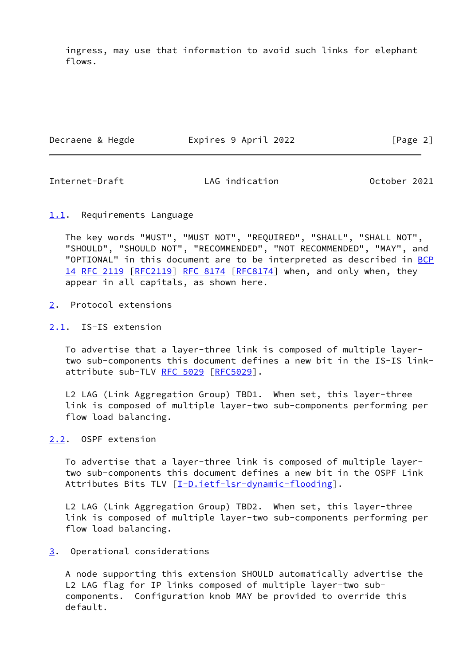ingress, may use that information to avoid such links for elephant flows.

Decraene & Hegde **Expires 9 April 2022** [Page 2]

<span id="page-2-1"></span>Internet-Draft LAG indication October 2021

### <span id="page-2-0"></span>[1.1](#page-2-0). Requirements Language

 The key words "MUST", "MUST NOT", "REQUIRED", "SHALL", "SHALL NOT", "SHOULD", "SHOULD NOT", "RECOMMENDED", "NOT RECOMMENDED", "MAY", and "OPTIONAL" in this document are to be interpreted as described in [BCP](https://datatracker.ietf.org/doc/pdf/bcp14) [14](https://datatracker.ietf.org/doc/pdf/bcp14) [RFC 2119 \[RFC2119](https://datatracker.ietf.org/doc/pdf/rfc2119)] [RFC 8174](https://datatracker.ietf.org/doc/pdf/rfc8174) [\[RFC8174](https://datatracker.ietf.org/doc/pdf/rfc8174)] when, and only when, they appear in all capitals, as shown here.

- <span id="page-2-2"></span>[2](#page-2-2). Protocol extensions
- <span id="page-2-3"></span>[2.1](#page-2-3). IS-IS extension

 To advertise that a layer-three link is composed of multiple layer two sub-components this document defines a new bit in the IS-IS link- attribute sub-TLV [RFC 5029](https://datatracker.ietf.org/doc/pdf/rfc5029) [[RFC5029\]](https://datatracker.ietf.org/doc/pdf/rfc5029).

 L2 LAG (Link Aggregation Group) TBD1. When set, this layer-three link is composed of multiple layer-two sub-components performing per flow load balancing.

<span id="page-2-4"></span>[2.2](#page-2-4). OSPF extension

 To advertise that a layer-three link is composed of multiple layer two sub-components this document defines a new bit in the OSPF Link Attributes Bits TLV [\[I-D.ietf-lsr-dynamic-flooding](#page-4-4)].

 L2 LAG (Link Aggregation Group) TBD2. When set, this layer-three link is composed of multiple layer-two sub-components performing per flow load balancing.

<span id="page-2-5"></span>[3](#page-2-5). Operational considerations

 A node supporting this extension SHOULD automatically advertise the L2 LAG flag for IP links composed of multiple layer-two sub components. Configuration knob MAY be provided to override this default.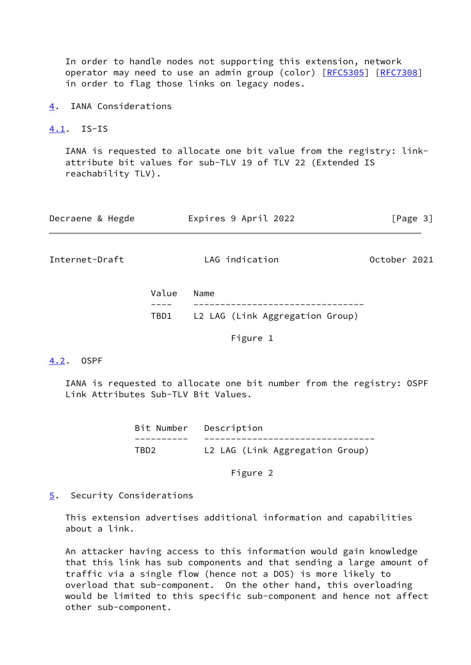In order to handle nodes not supporting this extension, network operator may need to use an admin group (color) [\[RFC5305](https://datatracker.ietf.org/doc/pdf/rfc5305)] [[RFC7308](https://datatracker.ietf.org/doc/pdf/rfc7308)] in order to flag those links on legacy nodes.

<span id="page-3-0"></span>[4](#page-3-0). IANA Considerations

<span id="page-3-1"></span>[4.1](#page-3-1). IS-IS

 IANA is requested to allocate one bit value from the registry: link attribute bit values for sub-TLV 19 of TLV 22 (Extended IS reachability TLV).

<span id="page-3-3"></span>

| Decraene & Hegde | Expires 9 April 2022 | [Page 3]     |  |  |
|------------------|----------------------|--------------|--|--|
| Internet-Draft   | LAG indication       | October 2021 |  |  |

| Value Name |                                      |
|------------|--------------------------------------|
|            |                                      |
|            | TBD1 L2 LAG (Link Aggregation Group) |

Figure 1

#### <span id="page-3-2"></span>[4.2](#page-3-2). OSPF

 IANA is requested to allocate one bit number from the registry: OSPF Link Attributes Sub-TLV Bit Values.

> Bit Number Description ---------- -------------------------------- TBD2 L2 LAG (Link Aggregation Group)

> > Figure 2

<span id="page-3-4"></span>[5](#page-3-4). Security Considerations

 This extension advertises additional information and capabilities about a link.

 An attacker having access to this information would gain knowledge that this link has sub components and that sending a large amount of traffic via a single flow (hence not a DOS) is more likely to overload that sub-component. On the other hand, this overloading would be limited to this specific sub-component and hence not affect other sub-component.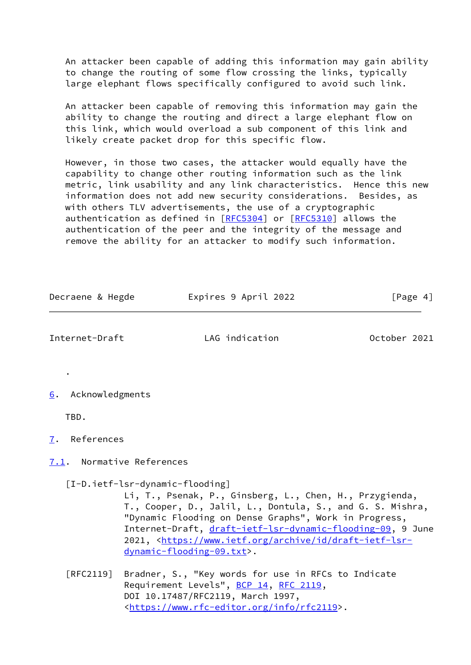An attacker been capable of adding this information may gain ability to change the routing of some flow crossing the links, typically large elephant flows specifically configured to avoid such link.

 An attacker been capable of removing this information may gain the ability to change the routing and direct a large elephant flow on this link, which would overload a sub component of this link and likely create packet drop for this specific flow.

 However, in those two cases, the attacker would equally have the capability to change other routing information such as the link metric, link usability and any link characteristics. Hence this new information does not add new security considerations. Besides, as with others TLV advertisements, the use of a cryptographic authentication as defined in [\[RFC5304](https://datatracker.ietf.org/doc/pdf/rfc5304)] or [[RFC5310](https://datatracker.ietf.org/doc/pdf/rfc5310)] allows the authentication of the peer and the integrity of the message and remove the ability for an attacker to modify such information.

Decraene & Hegde Expires 9 April 2022 [Page 4]

<span id="page-4-4"></span><span id="page-4-3"></span><span id="page-4-2"></span><span id="page-4-1"></span><span id="page-4-0"></span>

| Internet-Draft                   | LAG indication                                                                                                                                                                                                                                                                                                                                                                               | October 2021 |  |  |  |  |
|----------------------------------|----------------------------------------------------------------------------------------------------------------------------------------------------------------------------------------------------------------------------------------------------------------------------------------------------------------------------------------------------------------------------------------------|--------------|--|--|--|--|
| Acknowledgments<br>6.            |                                                                                                                                                                                                                                                                                                                                                                                              |              |  |  |  |  |
| TBD.                             |                                                                                                                                                                                                                                                                                                                                                                                              |              |  |  |  |  |
| References<br>7.                 |                                                                                                                                                                                                                                                                                                                                                                                              |              |  |  |  |  |
|                                  | 7.1. Normative References                                                                                                                                                                                                                                                                                                                                                                    |              |  |  |  |  |
|                                  | [I-D.ietf-lsr-dynamic-flooding]<br>Li, T., Psenak, P., Ginsberg, L., Chen, H., Przygienda,<br>T., Cooper, D., Jalil, L., Dontula, S., and G. S. Mishra,<br>"Dynamic Flooding on Dense Graphs", Work in Progress,<br>Internet-Draft, draft-ietf-lsr-dynamic-flooding-09, 9 June<br>2021, <https: archive="" draft-ietf-lsr-<br="" id="" www.ietf.org="">dynamic-flooding-09.txt&gt;.</https:> |              |  |  |  |  |
| $\lceil \mathsf{RFC2119} \rceil$ | Bradner, S., "Key words for use in RFCs to Indicate<br>Requirement Levels", BCP 14, RFC 2119,<br>DOI 10.17487/RFC2119, March 1997,<br><https: info="" rfc2119="" www.rfc-editor.org="">.</https:>                                                                                                                                                                                            |              |  |  |  |  |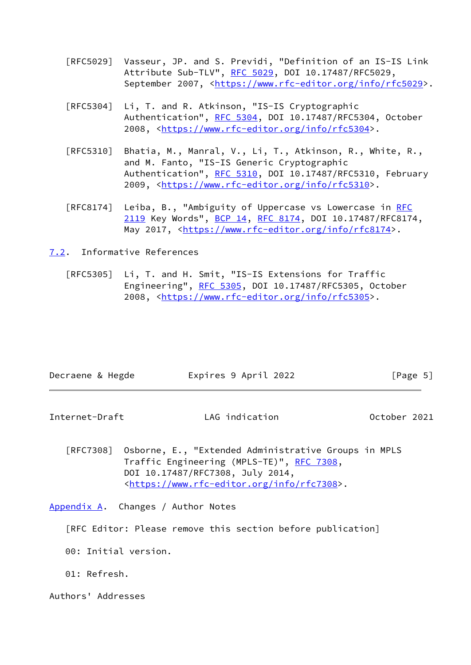- [RFC5029] Vasseur, JP. and S. Previdi, "Definition of an IS-IS Link Attribute Sub-TLV", [RFC 5029,](https://datatracker.ietf.org/doc/pdf/rfc5029) DOI 10.17487/RFC5029, September 2007, <[https://www.rfc-editor.org/info/rfc5029>](https://www.rfc-editor.org/info/rfc5029).
- [RFC5304] Li, T. and R. Atkinson, "IS-IS Cryptographic Authentication", [RFC 5304,](https://datatracker.ietf.org/doc/pdf/rfc5304) DOI 10.17487/RFC5304, October 2008, [<https://www.rfc-editor.org/info/rfc5304](https://www.rfc-editor.org/info/rfc5304)>.
- [RFC5310] Bhatia, M., Manral, V., Li, T., Atkinson, R., White, R., and M. Fanto, "IS-IS Generic Cryptographic Authentication", [RFC 5310,](https://datatracker.ietf.org/doc/pdf/rfc5310) DOI 10.17487/RFC5310, February 2009, [<https://www.rfc-editor.org/info/rfc5310](https://www.rfc-editor.org/info/rfc5310)>.
- [RFC8174] Leiba, B., "Ambiguity of Uppercase vs Lowercase in [RFC](https://datatracker.ietf.org/doc/pdf/rfc2119) [2119](https://datatracker.ietf.org/doc/pdf/rfc2119) Key Words", [BCP 14](https://datatracker.ietf.org/doc/pdf/bcp14), [RFC 8174,](https://datatracker.ietf.org/doc/pdf/rfc8174) DOI 10.17487/RFC8174, May 2017, [<https://www.rfc-editor.org/info/rfc8174](https://www.rfc-editor.org/info/rfc8174)>.
- <span id="page-5-0"></span>[7.2](#page-5-0). Informative References
	- [RFC5305] Li, T. and H. Smit, "IS-IS Extensions for Traffic Engineering", [RFC 5305](https://datatracker.ietf.org/doc/pdf/rfc5305), DOI 10.17487/RFC5305, October 2008, [<https://www.rfc-editor.org/info/rfc5305](https://www.rfc-editor.org/info/rfc5305)>.

<span id="page-5-2"></span>

| Decraene & Hegde |  |  | Expires 9 April 2022 |                                                      |  | [Page 5]     |  |
|------------------|--|--|----------------------|------------------------------------------------------|--|--------------|--|
| Internet-Draft   |  |  | LAG indication       |                                                      |  | October 2021 |  |
| RFC7308          |  |  |                      | Osborne, E., "Extended Administrative Groups in MPLS |  |              |  |

 Traffic Engineering (MPLS-TE)", [RFC 7308,](https://datatracker.ietf.org/doc/pdf/rfc7308) DOI 10.17487/RFC7308, July 2014, <[https://www.rfc-editor.org/info/rfc7308>](https://www.rfc-editor.org/info/rfc7308).

<span id="page-5-1"></span>[Appendix A.](#page-5-1) Changes / Author Notes

[RFC Editor: Please remove this section before publication]

00: Initial version.

01: Refresh.

Authors' Addresses